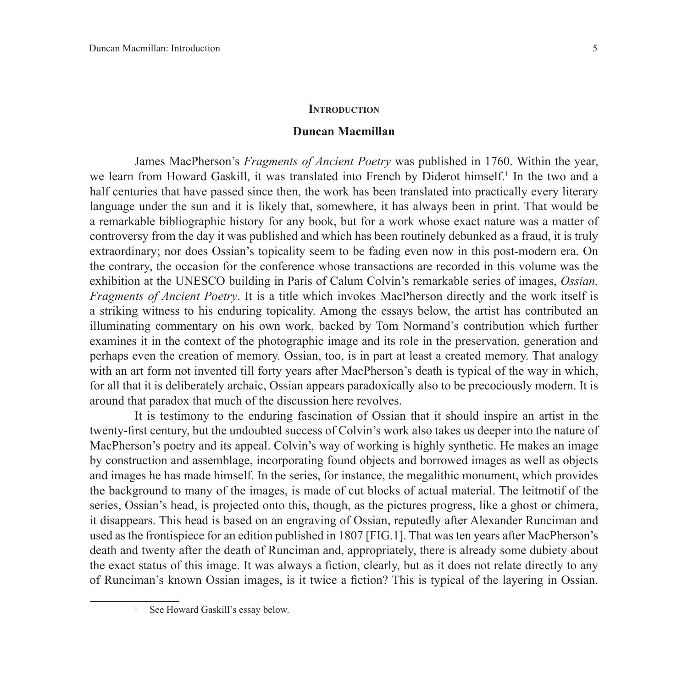## **INTRODUCTION**

## **Duncan Macmillan**

James MacPherson's *Fragments of Ancient Poetry* was published in 1760. Within the year, we learn from Howard Gaskill, it was translated into French by Diderot himself.<sup>1</sup> In the two and a half centuries that have passed since then, the work has been translated into practically every literary language under the sun and it is likely that, somewhere, it has always been in print. That would be a remarkable bibliographic history for any book, but for a work whose exact nature was a matter of controversy from the day it was published and which has been routinely debunked as a fraud, it is truly extraordinary; nor does Ossian's topicality seem to be fading even now in this post-modern era. On the contrary, the occasion for the conference whose transactions are recorded in this volume was the exhibition at the UNESCO building in Paris of Calum Colvin's remarkable series of images, *Ossian, Fragments of Ancient Poetry*. It is a title which invokes MacPherson directly and the work itself is a striking witness to his enduring topicality. Among the essays below, the artist has contributed an illuminating commentary on his own work, backed by Tom Normand's contribution which further examines it in the context of the photographic image and its role in the preservation, generation and perhaps even the creation of memory. Ossian, too, is in part at least a created memory. That analogy with an art form not invented till forty years after MacPherson's death is typical of the way in which, for all that it is deliberately archaic, Ossian appears paradoxically also to be precociously modern. It is around that paradox that much of the discussion here revolves.

It is testimony to the enduring fascination of Ossian that it should inspire an artist in the twenty-first century, but the undoubted success of Colvin's work also takes us deeper into the nature of MacPherson's poetry and its appeal. Colvin's way of working is highly synthetic. He makes an image by construction and assemblage, incorporating found objects and borrowed images as well as objects and images he has made himself. In the series, for instance, the megalithic monument, which provides the background to many of the images, is made of cut blocks of actual material. The leitmotif of the series, Ossian's head, is projected onto this, though, as the pictures progress, like a ghost or chimera, it disappears. This head is based on an engraving of Ossian, reputedly after Alexander Runciman and used as the frontispiece for an edition published in 1807 [FIG.1]. That was ten years after MacPherson's death and twenty after the death of Runciman and, appropriately, there is already some dubiety about the exact status of this image. It was always a fiction, clearly, but as it does not relate directly to any of Runciman's known Ossian images, is it twice a fiction? This is typical of the layering in Ossian.

See Howard Gaskill's essay below.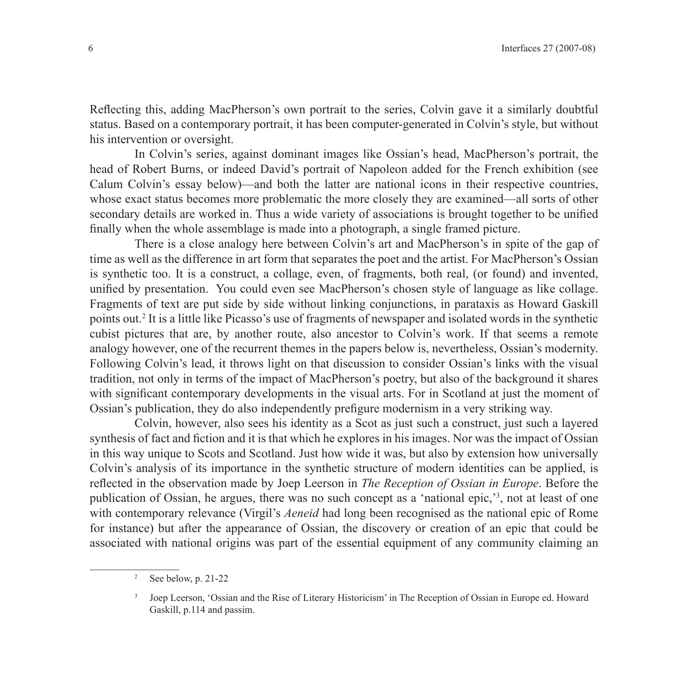Reflecting this, adding MacPherson's own portrait to the series, Colvin gave it a similarly doubtful status. Based on a contemporary portrait, it has been computer-generated in Colvin's style, but without his intervention or oversight.

In Colvin's series, against dominant images like Ossian's head, MacPherson's portrait, the head of Robert Burns, or indeed David's portrait of Napoleon added for the French exhibition (see Calum Colvin's essay below)—and both the latter are national icons in their respective countries, whose exact status becomes more problematic the more closely they are examined—all sorts of other secondary details are worked in. Thus a wide variety of associations is brought together to be unified finally when the whole assemblage is made into a photograph, a single framed picture.

There is a close analogy here between Colvin's art and MacPherson's in spite of the gap of time as well as the difference in art form that separates the poet and the artist. For MacPherson's Ossian is synthetic too. It is a construct, a collage, even, of fragments, both real, (or found) and invented, unified by presentation. You could even see MacPherson's chosen style of language as like collage. Fragments of text are put side by side without linking conjunctions, in parataxis as Howard Gaskill points out.2 It is a little like Picasso's use of fragments of newspaper and isolated words in the synthetic cubist pictures that are, by another route, also ancestor to Colvin's work. If that seems a remote analogy however, one of the recurrent themes in the papers below is, nevertheless, Ossian's modernity. Following Colvin's lead, it throws light on that discussion to consider Ossian's links with the visual tradition, not only in terms of the impact of MacPherson's poetry, but also of the background it shares with significant contemporary developments in the visual arts. For in Scotland at just the moment of Ossian's publication, they do also independently prefigure modernism in a very striking way.

Colvin, however, also sees his identity as a Scot as just such a construct, just such a layered synthesis of fact and fiction and it is that which he explores in his images. Nor was the impact of Ossian in this way unique to Scots and Scotland. Just how wide it was, but also by extension how universally Colvin's analysis of its importance in the synthetic structure of modern identities can be applied, is reflected in the observation made by Joep Leerson in *The Reception of Ossian in Europe*. Before the publication of Ossian, he argues, there was no such concept as a 'national epic,'3 , not at least of one with contemporary relevance (Virgil's *Aeneid* had long been recognised as the national epic of Rome for instance) but after the appearance of Ossian, the discovery or creation of an epic that could be associated with national origins was part of the essential equipment of any community claiming an

 $2^2$  See below, p. 21-22

<sup>&</sup>lt;sup>3</sup> Joep Leerson, 'Ossian and the Rise of Literary Historicism' in The Reception of Ossian in Europe ed. Howard Gaskill, p.114 and passim.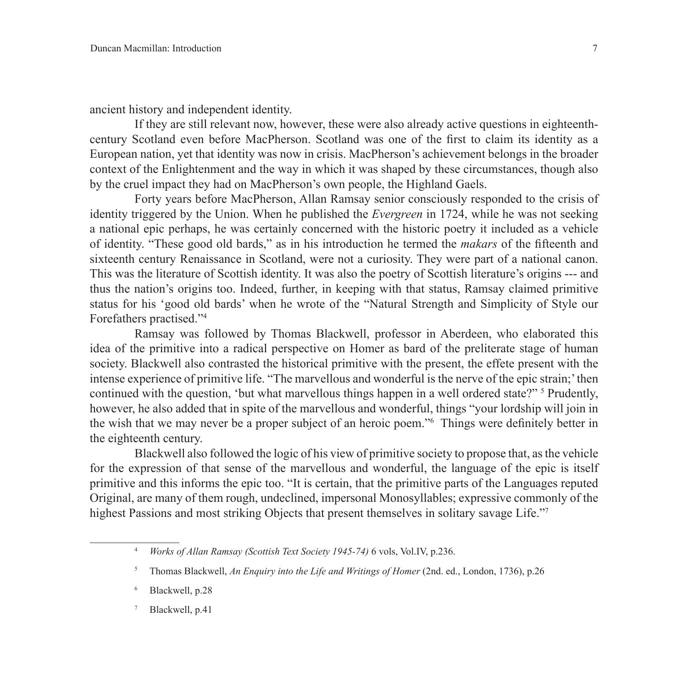ancient history and independent identity.

If they are still relevant now, however, these were also already active questions in eighteenthcentury Scotland even before MacPherson. Scotland was one of the first to claim its identity as a European nation, yet that identity was now in crisis. MacPherson's achievement belongs in the broader context of the Enlightenment and the way in which it was shaped by these circumstances, though also by the cruel impact they had on MacPherson's own people, the Highland Gaels.

Forty years before MacPherson, Allan Ramsay senior consciously responded to the crisis of identity triggered by the Union. When he published the *Evergreen* in 1724, while he was not seeking a national epic perhaps, he was certainly concerned with the historic poetry it included as a vehicle of identity. "These good old bards," as in his introduction he termed the *makars* of the fifteenth and sixteenth century Renaissance in Scotland, were not a curiosity. They were part of a national canon. This was the literature of Scottish identity. It was also the poetry of Scottish literature's origins --- and thus the nation's origins too. Indeed, further, in keeping with that status, Ramsay claimed primitive status for his 'good old bards' when he wrote of the "Natural Strength and Simplicity of Style our Forefathers practised."4

Ramsay was followed by Thomas Blackwell, professor in Aberdeen, who elaborated this idea of the primitive into a radical perspective on Homer as bard of the preliterate stage of human society. Blackwell also contrasted the historical primitive with the present, the effete present with the intense experience of primitive life. "The marvellous and wonderful is the nerve of the epic strain;' then continued with the question, 'but what marvellous things happen in a well ordered state?" <sup>5</sup> Prudently, however, he also added that in spite of the marvellous and wonderful, things "your lordship will join in the wish that we may never be a proper subject of an heroic poem."6 Things were definitely better in the eighteenth century.

Blackwell also followed the logic of his view of primitive society to propose that, as the vehicle for the expression of that sense of the marvellous and wonderful, the language of the epic is itself primitive and this informs the epic too. "It is certain, that the primitive parts of the Languages reputed Original, are many of them rough, undeclined, impersonal Monosyllables; expressive commonly of the highest Passions and most striking Objects that present themselves in solitary savage Life."7

- Blackwell, p.28
- Blackwell, p.41

<sup>4</sup> *Works of Allan Ramsay (Scottish Text Society 1945-74)* 6 vols, Vol.IV, p.236.

<sup>5</sup> Thomas Blackwell, *An Enquiry into the Life and Writings of Homer* (2nd. ed., London, 1736), p.26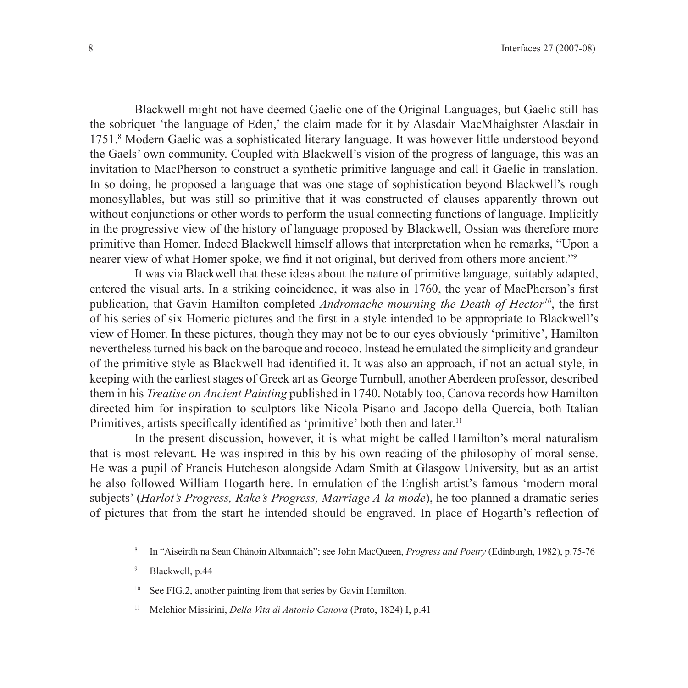Blackwell might not have deemed Gaelic one of the Original Languages, but Gaelic still has the sobriquet 'the language of Eden,' the claim made for it by Alasdair MacMhaighster Alasdair in 1751.8 Modern Gaelic was a sophisticated literary language. It was however little understood beyond the Gaels' own community. Coupled with Blackwell's vision of the progress of language, this was an invitation to MacPherson to construct a synthetic primitive language and call it Gaelic in translation. In so doing, he proposed a language that was one stage of sophistication beyond Blackwell's rough monosyllables, but was still so primitive that it was constructed of clauses apparently thrown out without conjunctions or other words to perform the usual connecting functions of language. Implicitly in the progressive view of the history of language proposed by Blackwell, Ossian was therefore more primitive than Homer. Indeed Blackwell himself allows that interpretation when he remarks, "Upon a nearer view of what Homer spoke, we find it not original, but derived from others more ancient."<sup>9</sup>

It was via Blackwell that these ideas about the nature of primitive language, suitably adapted, entered the visual arts. In a striking coincidence, it was also in 1760, the year of MacPherson's first publication, that Gavin Hamilton completed *Andromache mourning the Death of Hector10*, the first of his series of six Homeric pictures and the first in a style intended to be appropriate to Blackwell's view of Homer. In these pictures, though they may not be to our eyes obviously 'primitive', Hamilton nevertheless turned his back on the baroque and rococo. Instead he emulated the simplicity and grandeur of the primitive style as Blackwell had identified it. It was also an approach, if not an actual style, in keeping with the earliest stages of Greek art as George Turnbull, another Aberdeen professor, described them in his *Treatise on Ancient Painting* published in 1740. Notably too, Canova records how Hamilton directed him for inspiration to sculptors like Nicola Pisano and Jacopo della Quercia, both Italian Primitives, artists specifically identified as 'primitive' both then and later.<sup>11</sup>

In the present discussion, however, it is what might be called Hamilton's moral naturalism that is most relevant. He was inspired in this by his own reading of the philosophy of moral sense. He was a pupil of Francis Hutcheson alongside Adam Smith at Glasgow University, but as an artist he also followed William Hogarth here. In emulation of the English artist's famous 'modern moral subjects' (*Harlot's Progress, Rake's Progress, Marriage A-la-mode*), he too planned a dramatic series of pictures that from the start he intended should be engraved. In place of Hogarth's reflection of

<sup>8</sup> In "Aiseirdh na Sean Chánoin Albannaich"; see John MacQueen, *Progress and Poetry* (Edinburgh, 1982), p.75-76

<sup>9</sup> Blackwell, p.44

See FIG.2, another painting from that series by Gavin Hamilton.

<sup>11</sup> Melchior Missirini, *Della Vita di Antonio Canova* (Prato, 1824) I, p.41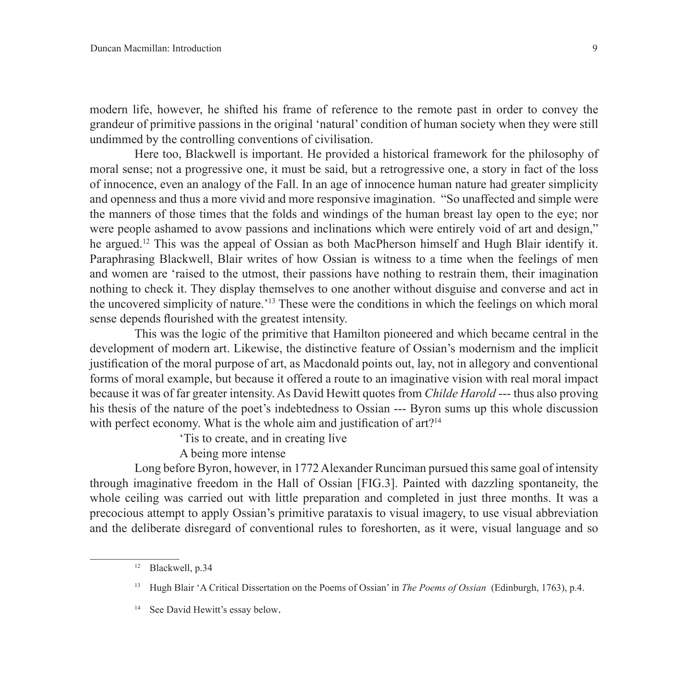modern life, however, he shifted his frame of reference to the remote past in order to convey the grandeur of primitive passions in the original 'natural' condition of human society when they were still undimmed by the controlling conventions of civilisation.

Here too, Blackwell is important. He provided a historical framework for the philosophy of moral sense; not a progressive one, it must be said, but a retrogressive one, a story in fact of the loss of innocence, even an analogy of the Fall. In an age of innocence human nature had greater simplicity and openness and thus a more vivid and more responsive imagination. "So unaffected and simple were the manners of those times that the folds and windings of the human breast lay open to the eye; nor were people ashamed to avow passions and inclinations which were entirely void of art and design," he argued.<sup>12</sup> This was the appeal of Ossian as both MacPherson himself and Hugh Blair identify it. Paraphrasing Blackwell, Blair writes of how Ossian is witness to a time when the feelings of men and women are 'raised to the utmost, their passions have nothing to restrain them, their imagination nothing to check it. They display themselves to one another without disguise and converse and act in the uncovered simplicity of nature.'13 These were the conditions in which the feelings on which moral sense depends flourished with the greatest intensity.

This was the logic of the primitive that Hamilton pioneered and which became central in the development of modern art. Likewise, the distinctive feature of Ossian's modernism and the implicit justification of the moral purpose of art, as Macdonald points out, lay, not in allegory and conventional forms of moral example, but because it offered a route to an imaginative vision with real moral impact because it was of far greater intensity. As David Hewitt quotes from *Childe Harold* --- thus also proving his thesis of the nature of the poet's indebtedness to Ossian --- Byron sums up this whole discussion with perfect economy. What is the whole aim and justification of art?<sup>14</sup>

'Tis to create, and in creating live

A being more intense

Long before Byron, however, in 1772 Alexander Runciman pursued this same goal of intensity through imaginative freedom in the Hall of Ossian [FIG.3]. Painted with dazzling spontaneity, the whole ceiling was carried out with little preparation and completed in just three months. It was a precocious attempt to apply Ossian's primitive parataxis to visual imagery, to use visual abbreviation and the deliberate disregard of conventional rules to foreshorten, as it were, visual language and so

<sup>12</sup> Blackwell, p.34

<sup>13</sup> Hugh Blair 'A Critical Dissertation on the Poems of Ossian' in *The Poems of Ossian* (Edinburgh, 1763), p.4.

<sup>&</sup>lt;sup>14</sup> See David Hewitt's essay below.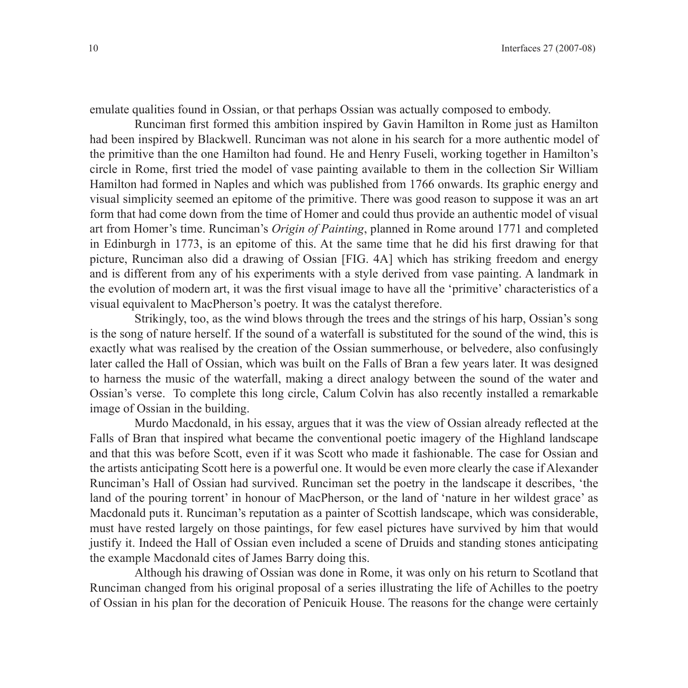emulate qualities found in Ossian, or that perhaps Ossian was actually composed to embody.

Runciman first formed this ambition inspired by Gavin Hamilton in Rome just as Hamilton had been inspired by Blackwell. Runciman was not alone in his search for a more authentic model of the primitive than the one Hamilton had found. He and Henry Fuseli, working together in Hamilton's circle in Rome, first tried the model of vase painting available to them in the collection Sir William Hamilton had formed in Naples and which was published from 1766 onwards. Its graphic energy and visual simplicity seemed an epitome of the primitive. There was good reason to suppose it was an art form that had come down from the time of Homer and could thus provide an authentic model of visual art from Homer's time. Runciman's *Origin of Painting*, planned in Rome around 1771 and completed in Edinburgh in 1773, is an epitome of this. At the same time that he did his first drawing for that picture, Runciman also did a drawing of Ossian [FIG. 4A] which has striking freedom and energy and is different from any of his experiments with a style derived from vase painting. A landmark in the evolution of modern art, it was the first visual image to have all the 'primitive' characteristics of a visual equivalent to MacPherson's poetry. It was the catalyst therefore.

Strikingly, too, as the wind blows through the trees and the strings of his harp, Ossian's song is the song of nature herself. If the sound of a waterfall is substituted for the sound of the wind, this is exactly what was realised by the creation of the Ossian summerhouse, or belvedere, also confusingly later called the Hall of Ossian, which was built on the Falls of Bran a few years later. It was designed to harness the music of the waterfall, making a direct analogy between the sound of the water and Ossian's verse. To complete this long circle, Calum Colvin has also recently installed a remarkable image of Ossian in the building.

Murdo Macdonald, in his essay, argues that it was the view of Ossian already reflected at the Falls of Bran that inspired what became the conventional poetic imagery of the Highland landscape and that this was before Scott, even if it was Scott who made it fashionable. The case for Ossian and the artists anticipating Scott here is a powerful one. It would be even more clearly the case if Alexander Runciman's Hall of Ossian had survived. Runciman set the poetry in the landscape it describes, 'the land of the pouring torrent' in honour of MacPherson, or the land of 'nature in her wildest grace' as Macdonald puts it. Runciman's reputation as a painter of Scottish landscape, which was considerable, must have rested largely on those paintings, for few easel pictures have survived by him that would justify it. Indeed the Hall of Ossian even included a scene of Druids and standing stones anticipating the example Macdonald cites of James Barry doing this.

Although his drawing of Ossian was done in Rome, it was only on his return to Scotland that Runciman changed from his original proposal of a series illustrating the life of Achilles to the poetry of Ossian in his plan for the decoration of Penicuik House. The reasons for the change were certainly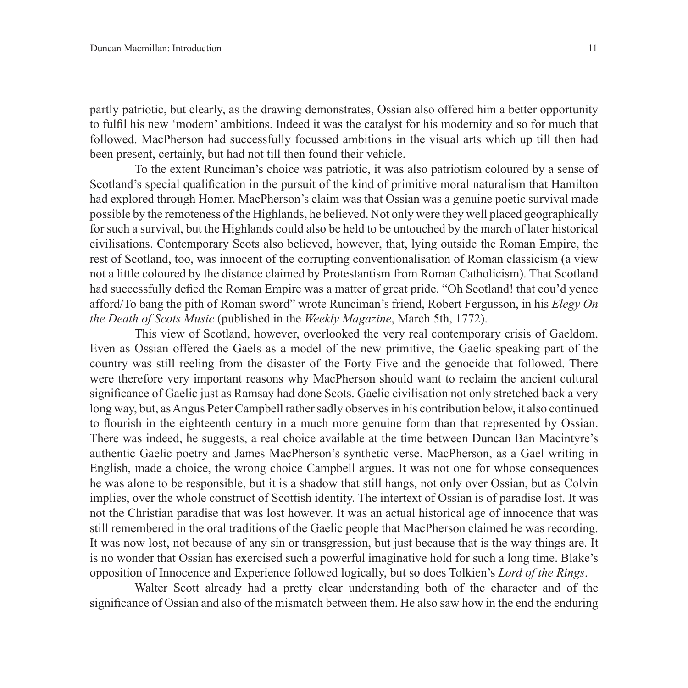partly patriotic, but clearly, as the drawing demonstrates, Ossian also offered him a better opportunity to fulfil his new 'modern' ambitions. Indeed it was the catalyst for his modernity and so for much that followed. MacPherson had successfully focussed ambitions in the visual arts which up till then had been present, certainly, but had not till then found their vehicle.

To the extent Runciman's choice was patriotic, it was also patriotism coloured by a sense of Scotland's special qualification in the pursuit of the kind of primitive moral naturalism that Hamilton had explored through Homer. MacPherson's claim was that Ossian was a genuine poetic survival made possible by the remoteness of the Highlands, he believed. Not only were they well placed geographically for such a survival, but the Highlands could also be held to be untouched by the march of later historical civilisations. Contemporary Scots also believed, however, that, lying outside the Roman Empire, the rest of Scotland, too, was innocent of the corrupting conventionalisation of Roman classicism (a view not a little coloured by the distance claimed by Protestantism from Roman Catholicism). That Scotland had successfully defied the Roman Empire was a matter of great pride. "Oh Scotland! that cou'd yence afford/To bang the pith of Roman sword" wrote Runciman's friend, Robert Fergusson, in his *Elegy On the Death of Scots Music* (published in the *Weekly Magazine*, March 5th, 1772).

This view of Scotland, however, overlooked the very real contemporary crisis of Gaeldom. Even as Ossian offered the Gaels as a model of the new primitive, the Gaelic speaking part of the country was still reeling from the disaster of the Forty Five and the genocide that followed. There were therefore very important reasons why MacPherson should want to reclaim the ancient cultural significance of Gaelic just as Ramsay had done Scots. Gaelic civilisation not only stretched back a very long way, but, as Angus Peter Campbell rather sadly observes in his contribution below, it also continued to flourish in the eighteenth century in a much more genuine form than that represented by Ossian. There was indeed, he suggests, a real choice available at the time between Duncan Ban Macintyre's authentic Gaelic poetry and James MacPherson's synthetic verse. MacPherson, as a Gael writing in English, made a choice, the wrong choice Campbell argues. It was not one for whose consequences he was alone to be responsible, but it is a shadow that still hangs, not only over Ossian, but as Colvin implies, over the whole construct of Scottish identity. The intertext of Ossian is of paradise lost. It was not the Christian paradise that was lost however. It was an actual historical age of innocence that was still remembered in the oral traditions of the Gaelic people that MacPherson claimed he was recording. It was now lost, not because of any sin or transgression, but just because that is the way things are. It is no wonder that Ossian has exercised such a powerful imaginative hold for such a long time. Blake's opposition of Innocence and Experience followed logically, but so does Tolkien's *Lord of the Rings*.

Walter Scott already had a pretty clear understanding both of the character and of the significance of Ossian and also of the mismatch between them. He also saw how in the end the enduring